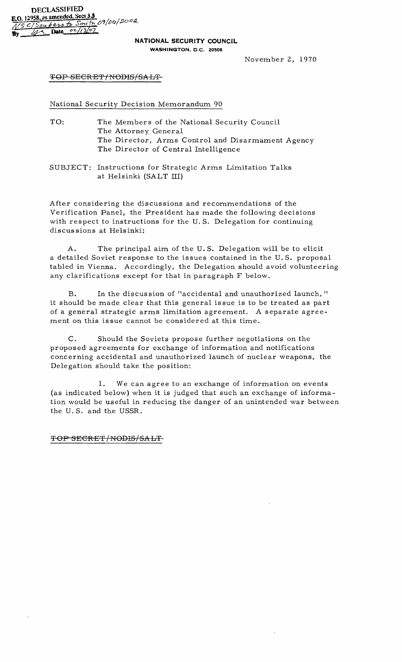## **NATIONAL SECURITY COUNCIL**

WASHINGTON, D.C. 20506

November 2, 1970

## TOP SECRET/NODIS/SALT-

National Security Decision Memorandum 90

- TO: The Members of the National Security Council The Attorney General The Director, Arms Control and Disarmament Agency The Director of Central Intelligence
- SUBJECT: Instructions for Strategic Arms Limitation Talks at Helsinki (SALT III)

After considering the discussions and recommendations of the Verification Panel, the President has made the following decisions with respect to instructions for the U. S, Delegation for continuing discussions at Helsinki:

A. The principal aim of the U. S. Delegation will be to elicit a detailed Soviet response to the issues contained in the U. S. proposal tabled in Vienna. Accordingly, the Delegation should avoid volunteering any clarifications except for that in paragraph F below.

B. In the discus sion of "accidental and unauthorized launch, " it should be made clear that this general is sue is to be treated as part of a general strategic arms limitation agreement. A separate agreement on this issue cannot be considered at this time.

C. Should the Soviets propose further negotiations on the proposed agreements for exchange of information and notifications concerning accidental and unauthorized launch of nuclear weapons, the Delegation should take the position:

1. We can agree to an exchange of information on events (as indicated below) when it is judged that such an exchange of information would be useful in reducing the danger of an unintended war between the U. S. and the USSR.

## TOP SECRET/NODIS/SALT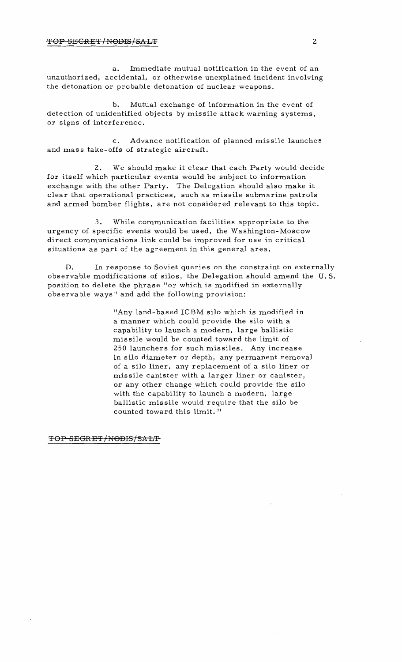a. Immediate mutual notification in the event of an unauthorized, accidental, or otherwise unexplained incident involving the detonation or probable detonation of nuclear weapons.

b. Mutual exchange of information in the event of detection of unidentified objects by missile attack warning systems, or signs of interference.

c. Advance notification of planned missile launches and mass take-offs of strategic aircraft.

We should make it clear that each Party would decide for itself which particular events would be subject to information exchange with the other Party. The Delegation should also make it clear that operational practices, such as missile submarine patrols and armed bomber flights, are not considered relevant to this topic.

3. While communication facilities appropriate to the urgency of specific events would be used, the Washington-Moscow direct communications link could be improved for use in critical situations as part of the agreement in this general area.

D. In response to Soviet queries on the constraint on externally observable modifications of silos, the Delegation should amend the U. S. position to delete the phrase "or which is modified in externally observable ways" and add the following provision:

> "Any land-based ICBM silo which is modified in a manner which could provide the silo with a capability to launch a modern, large ballistic missile would be counted toward the limit of 250 launchers for such missiles. Any increase in silo diameter or depth, any permanent removal of a silo liner, any replacement of a silo liner or missile canister with a larger liner or canister, or any other change which could provide the silo with the capability to launch a modern, large ballistic mis sile would require that the silo be counted toward this limit. "

TOP SECRET/NODIS/SALT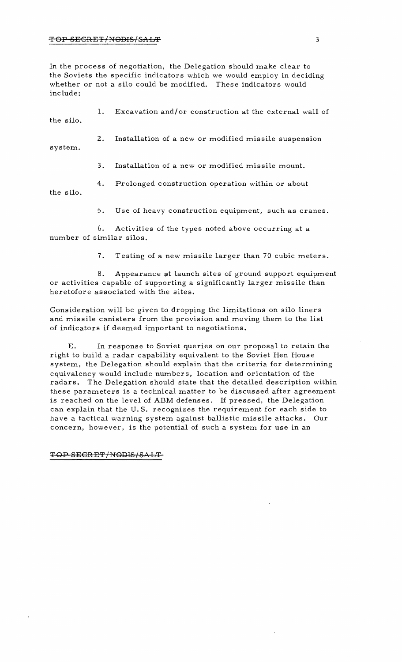In the process of negotiation, the Delegation should make clear to the Soviets the specific indicators which we would employ in deciding whether or not a silo could be modified. These indicators would include:

| the silo. |    | Excavation and/or construction at the external wall of |
|-----------|----|--------------------------------------------------------|
| system.   | 2. | Installation of a new or modified missile suspension   |
|           | 3. | Installation of a new or modified missile mount.       |
|           | 4. | Prolonged construction operation within or about       |

the silo.

5. Use of heavy construction equipment, such as cranes.

6. Activities of the types noted above occurring at a number of similar silos.

7. Testing of a new missile larger than 70 cubic meters.

8. Appearance at launch sites of ground support equipment or activities capable of supporting a significantly larger missile than heretofore associated with the sites.

Consideration will be given to dropping the limitations on silo liners and mis sile canisters from the provision and moving them to the list of indicators if deemed important to negotiations.

E. In response to Soviet queries on our proposal to retain the right to build a radar capability equivalent to the Soviet Hen House system, the Delegation should explain that the criteria for determining equivalency would include numbers, location and orientation of the radars. The Delegation should state that the detailed description within these parameters is a technical matter to be discus sed after agreement is reached on the level of ABM defenses. If pressed, the Delegation can explain that the U. S. recognizes the requirement for each side to have a tactical warning system against ballistic missile attacks. Our concern, however, is the potential of such a system for use in an

## TOP SEGRET/NODIS/SALT